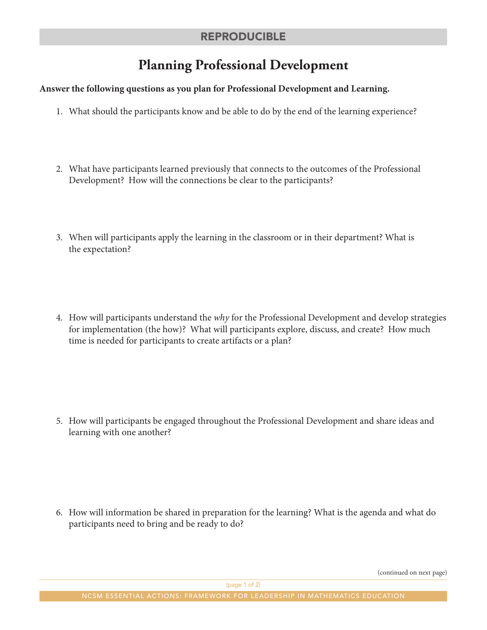## **Planning Professional Development**

## **Answer the following questions as you plan for Professional Development and Learning.**

- 1. What should the participants know and be able to do by the end of the learning experience?
- 2. What have participants learned previously that connects to the outcomes of the Professional Development? How will the connections be clear to the participants?
- 3. When will participants apply the learning in the classroom or in their department? What is the expectation?
- 4. How will participants understand the *why* for the Professional Development and develop strategies for implementation (the how)? What will participants explore, discuss, and create? How much time is needed for participants to create artifacts or a plan?

5. How will participants be engaged throughout the Professional Development and share ideas and learning with one another?

6. How will information be shared in preparation for the learning? What is the agenda and what do participants need to bring and be ready to do?